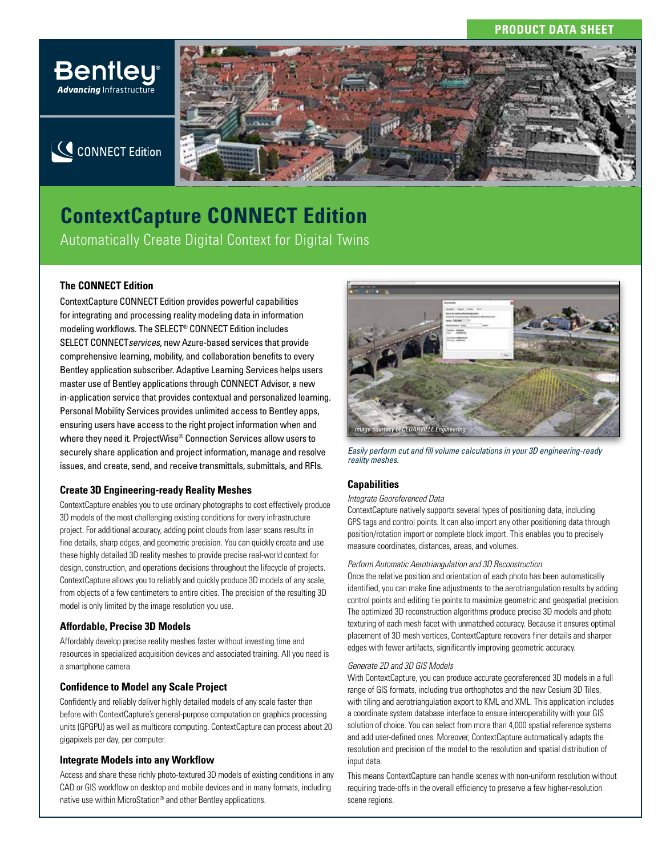# **PRODUCT DATA SHEET**



# **ContextCapture CONNECT Edition** Automatically Create Digital Context for Digital Twins

# **The CONNECT Edition**

Advancing Infrastructure

ContextCapture CONNECT Edition provides powerful capabilities for integrating and processing reality modeling data in information modeling workflows. The SELECT® CONNECT Edition includes SELECT CONNECT*services*, new Azure-based services that provide comprehensive learning, mobility, and collaboration benefits to every Bentley application subscriber. Adaptive Learning Services helps users master use of Bentley applications through CONNECT Advisor, a new in-application service that provides contextual and personalized learning. Personal Mobility Services provides unlimited access to Bentley apps, ensuring users have access to the right project information when and where they need it. ProjectWise® Connection Services allow users to securely share application and project information, manage and resolve issues, and create, send, and receive transmittals, submittals, and RFIs.

## **Create 3D Engineering-ready Reality Meshes**

ContextCapture enables you to use ordinary photographs to cost effectively produce 3D models of the most challenging existing conditions for every infrastructure project. For additional accuracy, adding point clouds from laser scans results in fine details, sharp edges, and geometric precision. You can quickly create and use these highly detailed 3D reality meshes to provide precise real-world context for design, construction, and operations decisions throughout the lifecycle of projects. ContextCapture allows you to reliably and quickly produce 3D models of any scale, from objects of a few centimeters to entire cities. The precision of the resulting 3D model is only limited by the image resolution you use.

## **Affordable, Precise 3D Models**

Affordably develop precise reality meshes faster without investing time and resources in specialized acquisition devices and associated training. All you need is a smartphone camera.

## **Confidence to Model any Scale Project**

Confidently and reliably deliver highly detailed models of any scale faster than before with ContextCapture's general-purpose computation on graphics processing units (GPGPU) as well as multicore computing. ContextCapture can process about 20 gigapixels per day, per computer.

## **Integrate Models into any Workflow**

Access and share these richly photo-textured 3D models of existing conditions in any CAD or GIS workflow on desktop and mobile devices and in many formats, including native use within MicroStation® and other Bentley applications.



*Easily perform cut and fill volume calculations in your 3D engineering-ready reality meshes.*

## **Capabilities**

## *Integrate Georeferenced Data*

ContextCapture natively supports several types of positioning data, including GPS tags and control points. It can also import any other positioning data through position/rotation import or complete block import. This enables you to precisely measure coordinates, distances, areas, and volumes.

#### *Perform Automatic Aerotriangulation and 3D Reconstruction*

Once the relative position and orientation of each photo has been automatically identified, you can make fine adjustments to the aerotriangulation results by adding control points and editing tie points to maximize geometric and geospatial precision. The optimized 3D reconstruction algorithms produce precise 3D models and photo texturing of each mesh facet with unmatched accuracy. Because it ensures optimal placement of 3D mesh vertices, ContextCapture recovers finer details and sharper edges with fewer artifacts, significantly improving geometric accuracy.

## *Generate 2D and 3D GIS Models*

With ContextCapture, you can produce accurate georeferenced 3D models in a full range of GIS formats, including true orthophotos and the new Cesium 3D Tiles, with tiling and aerotriangulation export to KML and XML. This application includes a coordinate system database interface to ensure interoperability with your GIS solution of choice. You can select from more than 4,000 spatial reference systems and add user-defined ones. Moreover, ContextCapture automatically adapts the resolution and precision of the model to the resolution and spatial distribution of input data.

This means ContextCapture can handle scenes with non-uniform resolution without requiring trade-offs in the overall efficiency to preserve a few higher-resolution scene regions.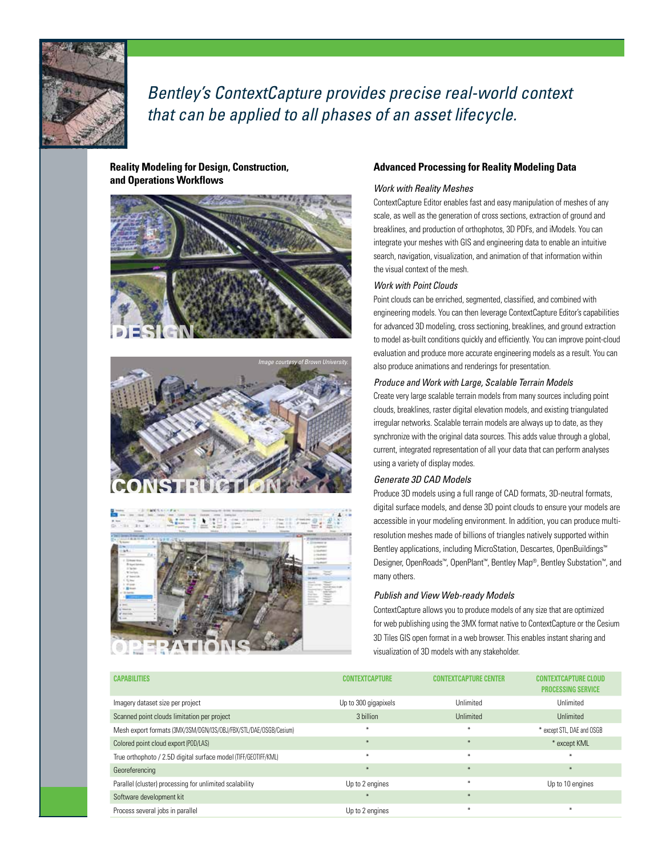

*Bentley's ContextCapture provides precise real-world context that can be applied to all phases of an asset lifecycle.* 

## **Reality Modeling for Design, Construction, and Operations Workflows**







## **Advanced Processing for Reality Modeling Data**

## *Work with Reality Meshes*

ContextCapture Editor enables fast and easy manipulation of meshes of any scale, as well as the generation of cross sections, extraction of ground and breaklines, and production of orthophotos, 3D PDFs, and iModels. You can integrate your meshes with GIS and engineering data to enable an intuitive search, navigation, visualization, and animation of that information within the visual context of the mesh.

## *Work with Point Clouds*

Point clouds can be enriched, segmented, classified, and combined with engineering models. You can then leverage ContextCapture Editor's capabilities for advanced 3D modeling, cross sectioning, breaklines, and ground extraction to model as-built conditions quickly and efficiently. You can improve point-cloud evaluation and produce more accurate engineering models as a result. You can also produce animations and renderings for presentation.

#### *Produce and Work with Large, Scalable Terrain Models*

Create very large scalable terrain models from many sources including point clouds, breaklines, raster digital elevation models, and existing triangulated irregular networks. Scalable terrain models are always up to date, as they synchronize with the original data sources. This adds value through a global, current, integrated representation of all your data that can perform analyses using a variety of display modes.

## *Generate 3D CAD Models*

Produce 3D models using a full range of CAD formats, 3D-neutral formats, digital surface models, and dense 3D point clouds to ensure your models are accessible in your modeling environment. In addition, you can produce multiresolution meshes made of billions of triangles natively supported within Bentley applications, including MicroStation, Descartes, OpenBuildings™ Designer, OpenRoads™, OpenPlant™, Bentley Map®, Bentley Substation™, and many others.

#### *Publish and View Web-ready Models*

ContextCapture allows you to produce models of any size that are optimized for web publishing using the 3MX format native to ContextCapture or the Cesium 3D Tiles GIS open format in a web browser. This enables instant sharing and visualization of 3D models with any stakeholder.

| <b>CAPABILITIES</b>                                               | <b>CONTEXTCAPTURE</b> | <b>CONTEXTCAPTURE CENTER</b> | <b>CONTEXTCAPTURE CLOUD</b><br><b>PROCESSING SERVICE</b> |
|-------------------------------------------------------------------|-----------------------|------------------------------|----------------------------------------------------------|
| Imagery dataset size per project                                  | Up to 300 gigapixels  | Unlimited                    | Unlimited                                                |
| Scanned point clouds limitation per project                       | 3 billion             | Unlimited                    | Unlimited                                                |
| Mesh export formats (3MX/3SM/DGN/I3S/0BJ/FBX/STL/DAE/OSGB/Cesium) | $\ast$                | $\ast$                       | * except STL, DAE and OSGB                               |
| Colored point cloud export (POD/LAS)                              | $*$                   | $*$                          | * except KML                                             |
| True orthophoto / 2.5D digital surface model (TIFF/GEOTIFF/KML)   | $\star$               | $\ast$                       | $*$                                                      |
| Georeferencing                                                    | $*$                   | $*$                          | $\ast$                                                   |
| Parallel (cluster) processing for unlimited scalability           | Up to 2 engines       | $\ast$                       | Up to 10 engines                                         |
| Software development kit                                          | $\rightarrow$         | $*$                          |                                                          |
| Process several jobs in parallel                                  | Up to 2 engines       | $\ast$                       | ₩                                                        |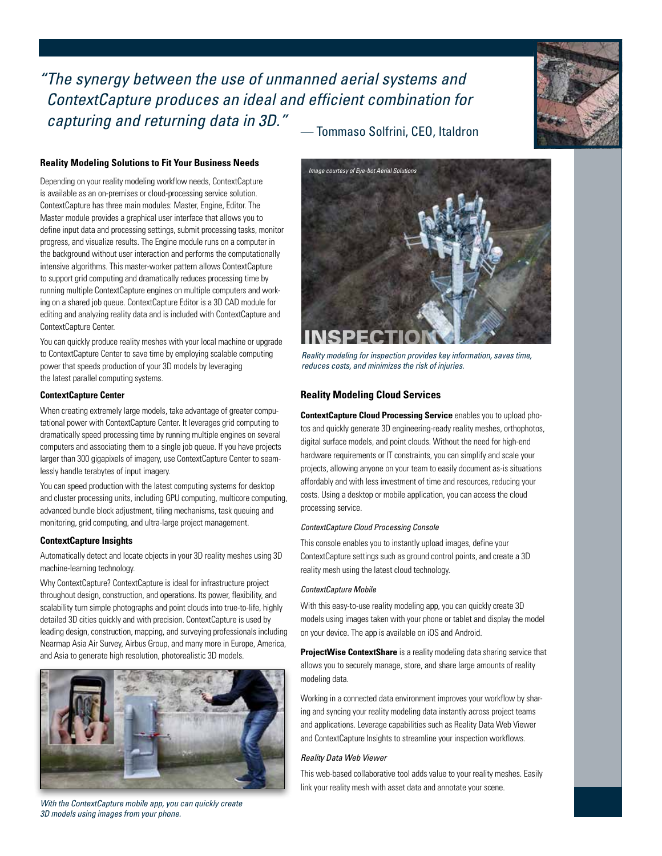*"The synergy between the use of unmanned aerial systems and ContextCapture produces an ideal and efficient combination for capturing and returning data in 3D."* — Tommaso Solfrini, CEO, Italdron

### **Reality Modeling Solutions to Fit Your Business Needs**

Depending on your reality modeling workflow needs, ContextCapture is available as an on-premises or cloud-processing service solution. ContextCapture has three main modules: Master, Engine, Editor. The Master module provides a graphical user interface that allows you to define input data and processing settings, submit processing tasks, monitor progress, and visualize results. The Engine module runs on a computer in the background without user interaction and performs the computationally intensive algorithms. This master-worker pattern allows ContextCapture to support grid computing and dramatically reduces processing time by running multiple ContextCapture engines on multiple computers and working on a shared job queue. ContextCapture Editor is a 3D CAD module for editing and analyzing reality data and is included with ContextCapture and ContextCapture Center.

You can quickly produce reality meshes with your local machine or upgrade to ContextCapture Center to save time by employing scalable computing power that speeds production of your 3D models by leveraging the latest parallel computing systems.

#### **ContextCapture Center**

When creating extremely large models, take advantage of greater computational power with ContextCapture Center. It leverages grid computing to dramatically speed processing time by running multiple engines on several computers and associating them to a single job queue. If you have projects larger than 300 gigapixels of imagery, use ContextCapture Center to seamlessly handle terabytes of input imagery.

You can speed production with the latest computing systems for desktop and cluster processing units, including GPU computing, multicore computing, advanced bundle block adjustment, tiling mechanisms, task queuing and monitoring, grid computing, and ultra-large project management.

## **ContextCapture Insights**

Automatically detect and locate objects in your 3D reality meshes using 3D machine-learning technology.

Why ContextCapture? ContextCapture is ideal for infrastructure project throughout design, construction, and operations. Its power, flexibility, and scalability turn simple photographs and point clouds into true-to-life, highly detailed 3D cities quickly and with precision. ContextCapture is used by leading design, construction, mapping, and surveying professionals including Nearmap Asia Air Survey, Airbus Group, and many more in Europe, America, and Asia to generate high resolution, photorealistic 3D models.



*With the ContextCapture mobile app, you can quickly create 3D models using images from your phone.*





*Reality modeling for inspection provides key information, saves time, reduces costs, and minimizes the risk of injuries.* 

#### **Reality Modeling Cloud Services**

**ContextCapture Cloud Processing Service** enables you to upload photos and quickly generate 3D engineering-ready reality meshes, orthophotos, digital surface models, and point clouds. Without the need for high-end hardware requirements or IT constraints, you can simplify and scale your projects, allowing anyone on your team to easily document as-is situations affordably and with less investment of time and resources, reducing your costs. Using a desktop or mobile application, you can access the cloud processing service.

#### *ContextCapture Cloud Processing Console*

This console enables you to instantly upload images, define your ContextCapture settings such as ground control points, and create a 3D reality mesh using the latest cloud technology.

#### *ContextCapture Mobile*

With this easy-to-use reality modeling app, you can quickly create 3D models using images taken with your phone or tablet and display the model on your device. The app is available on iOS and Android.

**ProjectWise ContextShare** is a reality modeling data sharing service that allows you to securely manage, store, and share large amounts of reality modeling data.

Working in a connected data environment improves your workflow by sharing and syncing your reality modeling data instantly across project teams and applications. Leverage capabilities such as Reality Data Web Viewer and ContextCapture Insights to streamline your inspection workflows.

#### *Reality Data Web Viewer*

This web-based collaborative tool adds value to your reality meshes. Easily link your reality mesh with asset data and annotate your scene.